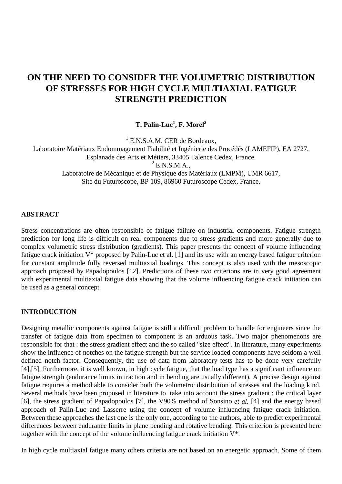# **ON THE NEED TO CONSIDER THE VOLUMETRIC DISTRIBUTION OF STRESSES FOR HIGH CYCLE MULTIAXIAL FATIGUE STRENGTH PREDICTION**

**T. Palin-Luc** $^1$ **, F. Morel** $^2$ 

<sup>1</sup> E.N.S.A.M. CER de Bordeaux, Laboratoire Matériaux Endommagement Fiabilité et Ingénierie des Procédés (LAMEFIP), EA 2727, Esplanade des Arts et Métiers, 33405 Talence Cedex, France.  $2$  E.N.S.M.A., Laboratoire de Mécanique et de Physique des Matériaux (LMPM), UMR 6617, Site du Futuroscope, BP 109, 86960 Futuroscope Cedex, France.

# **ABSTRACT**

Stress concentrations are often responsible of fatigue failure on industrial components. Fatigue strength prediction for long life is difficult on real components due to stress gradients and more generally due to complex volumetric stress distribution (gradients). This paper presents the concept of volume influencing fatigue crack initiation V\* proposed by Palin-Luc et al. [1] and its use with an energy based fatigue criterion for constant amplitude fully reversed multiaxial loadings. This concept is also used with the mesoscopic approach proposed by Papadopoulos [12]. Predictions of these two criterions are in very good agreement with experimental multiaxial fatigue data showing that the volume influencing fatigue crack initiation can be used as a general concept.

# **INTRODUCTION**

Designing metallic components against fatigue is still a difficult problem to handle for engineers since the transfer of fatigue data from specimen to component is an arduous task. Two major phenomenons are responsible for that : the stress gradient effect and the so called "size effect". In literature, many experiments show the influence of notches on the fatigue strength but the service loaded components have seldom a well defined notch factor. Consequently, the use of data from laboratory tests has to be done very carefully [4],[5]. Furthermore, it is well known, in high cycle fatigue, that the load type has a significant influence on fatigue strength (endurance limits in traction and in bending are usually different). A precise design against fatigue requires a method able to consider both the volumetric distribution of stresses and the loading kind. Several methods have been proposed in literature to take into account the stress gradient : the critical layer [6], the stress gradient of Papadopoulos [7], the V90% method of Sonsino *et al.* [4] and the energy based approach of Palin-Luc and Lasserre using the concept of volume influencing fatigue crack initiation. Between these approaches the last one is the only one, according to the authors, able to predict experimental differences between endurance limits in plane bending and rotative bending. This criterion is presented here together with the concept of the volume influencing fatigue crack initiation V\*.

In high cycle multiaxial fatigue many others criteria are not based on an energetic approach. Some of them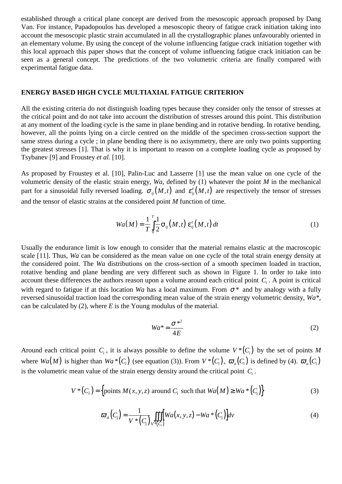established through a critical plane concept are derived from the mesoscopic approach proposed by Dang Van. For instance, Papadopoulos has developed a mesoscopic theory of fatigue crack initiation taking into account the mesoscopic plastic strain accumulated in all the crystallographic planes unfavourably oriented in an elementary volume. By using the concept of the volume influencing fatigue crack initiation together with this local approach this paper shows that the concept of volume influencing fatigue crack initiation can be seen as a general concept. The predictions of the two volumetric criteria are finally compared with experimental fatigue data.

# **ENERGY BASED HIGH CYCLE MULTIAXIAL FATIGUE CRITERION**

All the existing criteria do not distinguish loading types because they consider only the tensor of stresses at the critical point and do not take into account the distribution of stresses around this point. This distribution at any moment of the loading cycle is the same in plane bending and in rotative bending. In rotative bending, however, all the points lying on a circle centred on the middle of the specimen cross-section support the same stress during a cycle ; in plane bending there is no axisymmetry, there are only two points supporting the greatest stresses [1]. That is why it is important to reason on a complete loading cycle as proposed by Tsybanev [9] and Froustey *et al.* [10].

As proposed by Froustey et al. [10], Palin-Luc and Lasserre [1] use the mean value on one cycle of the volumetric density of the elastic strain energy, *Wa*, defined by (1) whatever the point *M* in the mechanical part for a sinusoidal fully reversed loading.  $\sigma_{ii}(M,t)$  and  $\varepsilon_{ii}^e(M,t)$  are respectively the tensor of stresses and the tensor of elastic strains at the considered point *M* function of time.

$$
Wa(M) = \frac{1}{T} \int_{0}^{T} \frac{1}{2} \sigma_{ij}(M, t) \, \varepsilon_{ij}^{e}(M, t) \, dt \tag{1}
$$

Usually the endurance limit is low enough to consider that the material remains elastic at the macroscopic scale [11]. Thus, *Wa* can be considered as the mean value on one cycle of the total strain energy density at the considered point. The *Wa* distributions on the cross-section of a smooth specimen loaded in traction, rotative bending and plane bending are very different such as shown in Figure 1. In order to take into account these differences the authors reason upon a volume around each critical point *Ci* . A point is critical with regard to fatigue if at this location *Wa* has a local maximum. From  $\sigma^*$  and by analogy with a fully reversed sinusoidal traction load the corresponding mean value of the strain energy volumetric density, *Wa\**, can be calculated by (2), where *E* is the Young modulus of the material.

$$
Wa^* = \frac{\sigma^{*2}}{4E} \tag{2}
$$

Around each critical point  $C_i$ , it is always possible to define the volume  $V^*(C_i)$  by the set of points M where  $Wa(M)$  is higher than  $Wa*(C_i)$  (see equation (3)). From  $V^*(C_i)$ ,  $\overline{\omega}_a(C_i)$  is defined by (4).  $\overline{\omega}_a(C_i)$ is the volumetric mean value of the strain energy density around the critical point  $C_i$ .

$$
V^*(C_i) = \left\{ \text{points } M(x, y, z) \text{ around } C_i \text{ such that } Wa(M) \ge Wa^*(C_i) \right\}
$$
 (3)

$$
\varpi_a\big(C_i\big) = \frac{1}{V^*\big(C_i\big)} \iiint\limits_{V^*\big(C_i\big)} [Wa(x, y, z) - Wa^*\big(C_i\big)] dv \tag{4}
$$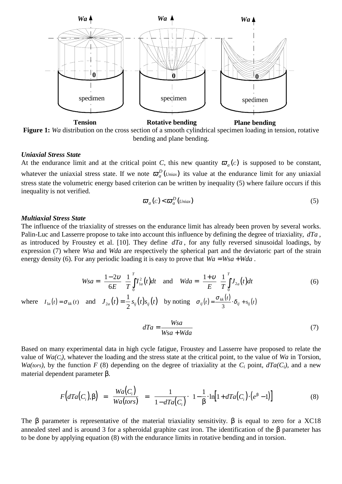

Figure 1: *Wa* distribution on the cross section of a smooth cylindrical specimen loading in tension, rotative bending and plane bending.

### *Uniaxial Stress State*

At the endurance limit and at the critical point *C*, this new quantity  $\sigma_a(c)$  is supposed to be constant, whatever the uniaxial stress state. If we note  $\varpi_a^D(\textit{Uniax})$  its value at the endurance limit for any uniaxial stress state the volumetric energy based criterion can be written by inequality (5) where failure occurs if this inequality is not verified.

$$
\varpi_a(c) < \varpi_a^D(\text{Uniax}) \tag{5}
$$

#### *Multiaxial Stress State*

The influence of the triaxiality of stresses on the endurance limit has already been proven by several works. Palin-Luc and Lasserre propose to take into account this influence by defining the degree of triaxiality, *dTa* , as introduced by Froustey et al. [10]. They define *dTa* , for any fully reversed sinusoidal loadings, by expression (7) where *Wsa* and *Wda* are respectively the spherical part and the deviatoric part of the strain energy density (6). For any periodic loading it is easy to prove that  $Wa = Wsa + Wda$ .

$$
Wsa = \left(\frac{1-2\nu}{6E}\right) \frac{1}{T} \int_{0}^{T} I_{1a}^{2}(t)dt \quad \text{and} \quad Wda = \left(\frac{1+\nu}{E}\right) \frac{1}{T} \int_{0}^{T} J_{2a}(t)dt
$$
\n
$$
\text{where} \quad I_{1a}(t) = \sigma_{kk}(t) \quad \text{and} \quad J_{2a}(t) = \frac{1}{2} s_{ij}(t) s_{ij}(t) \quad \text{by noting} \quad \sigma_{ij}(t) = \frac{\sigma_{kk}(t)}{3} \cdot \delta_{ij} + s_{ij}(t)
$$
\n
$$
\text{(6)}
$$

$$
dTa = \frac{Wsa}{Wsa + Wda} \tag{7}
$$

Based on many experimental data in high cycle fatigue, Froustey and Lasserre have proposed to relate the value of *Wa(Ci),* whatever the loading and the stress state at the critical point, to the value of *Wa* in Torsion, *Wa(tors)*, by the function *F* (8) depending on the degree of triaxiality at the  $C_i$  point,  $dTa(C_i)$ , and a new material dependent parameter β.

$$
F\big(dTa(C_i),\beta\big) = \frac{Wa(C_i)}{Wa(tors)} = \frac{1}{1 - dTa(C_i)} \cdot \left\{1 - \frac{1}{\beta} \cdot \ln\big[1 + dTa(C_i) \cdot \big(e^{\beta} - 1\big)\big]\right\}
$$
(8)

The  $\beta$  parameter is representative of the material triaxiality sensitivity.  $\beta$  is equal to zero for a XC18 annealed steel and is around 3 for a spheroidal graphite cast iron. The identification of the β parameter has to be done by applying equation (8) with the endurance limits in rotative bending and in torsion.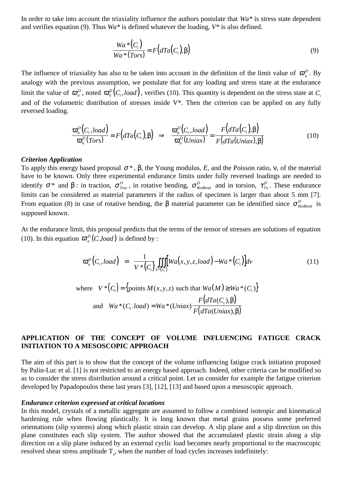In order to take into account the triaxiality influence the authors postulate that *Wa\** is stress state dependent and verifies equation (9). Thus *Wa\** is defined whatever the loading, *V\** is also defined.

$$
\frac{Wa * (C_i)}{Wa * (Tors)} = F\big(dTa\big(C_i\big), \beta\big)
$$
\n(9)

The influence of triaxiality has also to be taken into account in the definition of the limit value of  $\sigma_a^D$ . By analogy with the previous assumption, we postulate that for any loading and stress state at the endurance limit the value of  $\bar{\sigma}_a^D$ , noted  $\bar{\sigma}_a^D(C_i, load)$ , verifies (10). This quantity is dependent on the stress state at  $C_i$ and of the volumetric distribution of stresses inside V\*. Then the criterion can be applied on any fully reversed loading.

$$
\frac{\overline{\omega}_a^D(C_i, load)}{\overline{\omega}_a^D(Tors)} = F\big(dTa(C_i), \beta\big) \implies \frac{\overline{\omega}_a^D(C_i, load)}{\overline{\omega}_a^D(Uniax)} = \frac{F\big(dTa(C_i), \beta\big)}{F\big(dTa(Uniax), \beta\big)}\tag{10}
$$

#### *Criterion Application*

To apply this energy based proposal  $\sigma^*$ ,  $\beta$ , the Young modulus, *E*, and the Poisson ratio,  $\nu$ , of the material have to be known. Only three experimental endurance limits under fully reversed loadings are needed to identify  $\sigma^*$  and  $\beta$ : in traction,  $\sigma^D_{Trac}$ , in rotative bending,  $\sigma^D_{RotBend}$  and in torsion,  $\tau^D_{To}$ . These endurance limits can be considered as material parameters if the radius of specimen is larger than about 5 mm [7]. From equation (8) in case of rotative bending, the β material parameter can be identified since  $\sigma_{\text{RotBend}}^D$  is supposed known.

At the endurance limit, this proposal predicts that the terms of the tensor of stresses are solutions of equation (10). In this equation  $\overline{\omega}_a^D(C, load)$  is defined by :

$$
\varpi_a^D(C_i, load) = \frac{1}{V^*(C_i)} \iiint_{V^*(C_i)} [Wa(x, y, z, load) - Wa^*(C_i)] dv
$$
\nwhere  $V^*(C_i) = \{\text{points } M(x, y, z) \text{ such that } Wa(M) \ge Wa^*(C_i)\}$   
\nand  $Wa^*(C_i, load) = Wa^*(Uniax) \frac{F(dTa(C_i), \beta)}{F(dTa(Uniax), \beta)}$  (11)

# **APPLICATION OF THE CONCEPT OF VOLUME INFLUENCING FATIGUE CRACK INITIATION TO A MESOSCOPIC APPROACH**

The aim of this part is to show that the concept of the volume influencing fatigue crack initiation proposed by Palin-Luc et al. [1] is not restricted to an energy based approach. Indeed, other criteria can be modified so as to consider the stress distribution around a critical point. Let us consider for example the fatigue criterion developed by Papadopoulos these last years [3], [12], [13] and based upon a mesoscopic approach.

#### *Endurance criterion expressed at critical locations*

In this model, crystals of a metallic aggregate are assumed to follow a combined isotropic and kinematical hardening rule when flowing plastically. It is long known that metal grains possess some preferred orientations (slip systems) along which plastic strain can develop. A slip plane and a slip direction on this plane constitutes each slip system. The author showed that the accumulated plastic strain along a slip direction on a slip plane induced by an external cyclic load becomes nearly proportional to the macroscopic resolved shear stress amplitude  $T_a$ , when the number of load cycles increases indefinitely: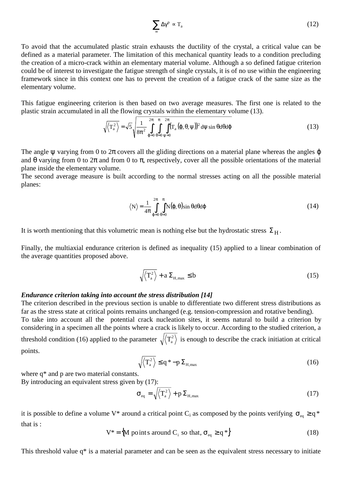$$
\sum_{\infty} \Delta \gamma^p \propto T_a \tag{12}
$$

To avoid that the accumulated plastic strain exhausts the ductility of the crystal, a critical value can be defined as a material parameter. The limitation of this mechanical quantity leads to a condition precluding the creation of a micro-crack within an elementary material volume. Although a so defined fatigue criterion could be of interest to investigate the fatigue strength of single crystals, it is of no use within the engineering framework since in this context one has to prevent the creation of a fatigue crack of the same size as the elementary volume.

This fatigue engineering criterion is then based on two average measures. The first one is related to the plastic strain accumulated in all the flowing crystals within the elementary volume (13).

$$
\sqrt{\langle T_a^2 \rangle} = \sqrt{5} \sqrt{\frac{1}{8\pi^2} \int_{\phi=0}^{2\pi} \int_{\theta=0}^{\pi} \int_{\psi=0}^{2\pi} (T_a(\varphi, \theta, \psi))^2 d\psi \sin \theta d\theta d\varphi}
$$
(13)

The angle  $\psi$  varying from 0 to  $2\pi$  covers all the gliding directions on a material plane whereas the angles  $\varphi$ and  $\theta$  varying from 0 to  $2\pi$  and from 0 to  $\pi$ , respectively, cover all the possible orientations of the material plane inside the elementary volume.

The second average measure is built according to the normal stresses acting on all the possible material planes:

$$
\langle N \rangle = \frac{1}{4\pi} \int_{\phi=0}^{2\pi} \int_{\theta=0}^{\pi} N(\phi, \theta) \sin \theta d\theta d\phi
$$
 (14)

It is worth mentioning that this volumetric mean is nothing else but the hydrostatic stress  $\Sigma_H$ .

Finally, the multiaxial endurance criterion is defined as inequality (15) applied to a linear combination of the average quantities proposed above.

$$
\sqrt{\left\langle T_a^2 \right\rangle} + a \Sigma_{H, \text{max}} \leq b \tag{15}
$$

### *Endurance criterion taking into account the stress distribution [14]*

The criterion described in the previous section is unable to differentiate two different stress distributions as far as the stress state at critical points remains unchanged (e.g. tension-compression and rotative bending).

To take into account all the potential crack nucleation sites, it seems natural to build a criterion by considering in a specimen all the points where a crack is likely to occur. According to the studied criterion, a threshold condition (16) applied to the parameter  $\sqrt{\langle T_a^2 \rangle}$  is enough to describe the crack initiation at critical points.

$$
\sqrt{\langle T_a^2 \rangle} \le q^* - p \Sigma_{H, \text{max}} \tag{16}
$$

where  $q^*$  and p are two material constants.

By introducing an equivalent stress given by (17):

$$
\sigma_{\rm eq} = \sqrt{\langle T_a^2 \rangle} + p \Sigma_{H, \text{max}} \tag{17}
$$

it is possible to define a volume V\* around a critical point C<sub>i</sub> as composed by the points verifying  $\sigma_{eq} \ge q^*$ that is :

$$
V^* = \{ M \text{ points around } C_i \text{ so that, } \sigma_{eq} \ge q^* \}
$$
 (18)

This threshold value q\* is a material parameter and can be seen as the equivalent stress necessary to initiate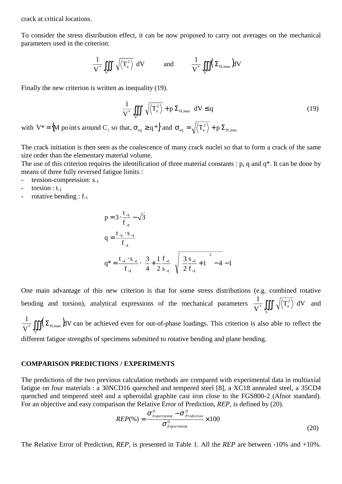crack at critical locations.

To consider the stress distribution effect, it can be now proposed to carry out averages on the mechanical parameters used in the criterion:

$$
\frac{1}{V^*}\iiint\limits_{V^*}\left(\sqrt{\left\langle T_a^2\right\rangle}\right) \hspace{-0.5cm}dV \hspace{1cm}\text{and}\hspace{1cm} \frac{1}{V^*}\iiint\limits_{V^*}\left(\Sigma_{H,\max}\right) \hspace{-0.5cm}dV
$$

Finally the new criterion is written as inequality (19).

$$
\frac{1}{V^*} \iiint_{V^*} \left( \sqrt{\langle T_a^2 \rangle} + p \Sigma_{H, \text{max}} \right) dV \le q
$$
\n(19)

with  $V^* = \{M \text{ points around } C_i \text{ so that, } \sigma_{eq} \ge q^*\}$  and  $\sigma_{eq} = \sqrt{\langle T_a^2 \rangle + p \sum_{H,\text{max}}}$ 

The crack initiation is then seen as the coalescence of many crack nuclei so that to form a crack of the same size order than the elementary material volume.

The use of this criterion requires the identification of three material constants : p, q and q\*. It can be done by means of three fully reversed fatigue limits :

- $tension-compression: s_{-1}$
- torsion :  $t_{-1}$
- rotative bending :  $f_{-1}$

$$
p = 3 \cdot \frac{t_{-1}}{f_{-1}} - \sqrt{3}
$$
  
\n
$$
q = \frac{t_{-1} \cdot s_{-1}}{f_{-1}}
$$
  
\n
$$
q^* = \frac{t_{-1} \cdot s_{-1}}{f_{-1}} \cdot \left[ \frac{3}{4} + \frac{1}{2} \frac{f_{-1}}{s_{-1}} \left( \sqrt{\left(\frac{3}{2} \frac{s_{-1}}{f_{-1}} + 1\right)^2 - 4 - 1} \right) \right]
$$

One main advantage of this new criterion is that for some stress distributions (e.g. combined rotative bending and torsion), analytical expressions of the mechanical parameters  $\frac{1}{\epsilon_*}$  ||||  $\sqrt{\langle T_a^2 \rangle}$   $\frac{1}{\epsilon_*}$ V 1  $V^*$  $=\iiint\limits_{V^*} \left( \sqrt{\left\langle T_a^2 \right\rangle} \right)$  $\int \sqrt{\langle T_a^2 \rangle} \, dV$  and

 $(\Sigma_{\text{H,max}})$ dV V  $\frac{1}{\sigma^*}$  ∫∫∫ $(\Sigma_{H,\max})$ HV can be achieved even for out-of-phase loadings. This criterion is also able to reflect the  $V^*$ different fatigue strengths of specimens submitted to rotative bending and plane bending.

# **COMPARISON PREDICTIONS / EXPERIMENTS**

The predictions of the two previous calculation methods are compared with experimental data in multiaxial fatigue on four materials : a 30NCD16 quenched and tempered steel [8], a XC18 annealed steel, a 35CD4 quenched and tempered steel and a spheroidal graphite cast iron close to the FGS800-2 (Afnor standard). For an objective and easy comparison the Relative Error of Prediction, *REP*, is defined by (20).

$$
REP(\%) = \frac{\sigma_{Experiments}^D - \sigma_{Prediction}^D}{\sigma_{Experiments}^D} \times 100
$$
\n(20)

The Relative Error of Prediction, *REP,* is presented in Table 1. All the *REP* are between -10% and +10%.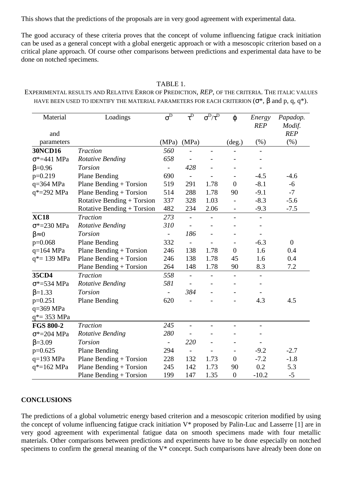This shows that the predictions of the proposals are in very good agreement with experimental data.

The good accuracy of these criteria proves that the concept of volume influencing fatigue crack initiation can be used as a general concept with a global energetic approach or with a mesoscopic criterion based on a critical plane approach. Of course other comparisons between predictions and experimental data have to be done on notched specimens.

| Material<br>and         | Loadings                   | $\overline{\sigma}^D$    | $\overline{\tau^{\mathrm{D}}}$ | $\overline{\sigma^D/\tau^D}$ | $\varphi$                    | Energy<br><b>REP</b>     | Papadop.<br>Modif.<br><b>REP</b> |
|-------------------------|----------------------------|--------------------------|--------------------------------|------------------------------|------------------------------|--------------------------|----------------------------------|
| parameters              |                            | (MPa)                    | (MPa)                          |                              | $(\text{deg.})$              | (% )                     | (% )                             |
| <b>30NCD16</b>          | <b>Traction</b>            | 560                      |                                | $\overline{\phantom{0}}$     |                              |                          |                                  |
| $\sigma^*$ =441 MPa     | <b>Rotative Bending</b>    | 658                      | $\overline{\phantom{0}}$       |                              |                              |                          |                                  |
| $\beta = 0.96$          | <b>Torsion</b>             | $\overline{\phantom{a}}$ | 428                            |                              |                              |                          |                                  |
| $p=0.219$               | <b>Plane Bending</b>       | 690                      |                                |                              |                              | $-4.5$                   | $-4.6$                           |
| q=364 MPa               | Plane Bending $+$ Torsion  | 519                      | 291                            | 1.78                         | $\overline{0}$               | $-8.1$                   | $-6$                             |
| q*=292 MPa              | Plane Bending $+$ Torsion  | 514                      | 288                            | 1.78                         | 90                           | $-9.1$                   | $-7$                             |
|                         | Rotative Bending + Torsion | 337                      | 328                            | 1.03                         |                              | $-8.3$                   | $-5.6$                           |
|                         | Rotative Bending + Torsion | 482                      | 234                            | 2.06                         | $\qquad \qquad \blacksquare$ | $-9.3$                   | $-7.5$                           |
| <b>XC18</b>             | <b>Traction</b>            | 273                      | $\overline{a}$                 |                              | $\overline{\phantom{a}}$     | $\overline{a}$           |                                  |
| $\sigma$ *=230 MPa      | <b>Rotative Bending</b>    | 310                      |                                |                              |                              |                          |                                  |
| $\beta \approx 0$       | <b>Torsion</b>             |                          | 186                            |                              |                              |                          |                                  |
| $p=0.068$               | <b>Plane Bending</b>       | 332                      | $\overline{a}$                 |                              |                              | $-6.3$                   | $\overline{0}$                   |
| $q=164$ MPa             | Plane Bending $+$ Torsion  | 246                      | 138                            | 1.78                         | $\overline{0}$               | 1.6                      | 0.4                              |
| $q*=139$ MPa            | Plane Bending $+$ Torsion  | 246                      | 138                            | 1.78                         | 45                           | 1.6                      | 0.4                              |
|                         | Plane Bending $+$ Torsion  | 264                      | 148                            | 1.78                         | 90                           | 8.3                      | 7.2                              |
| 35CD4                   | <b>Traction</b>            | 558                      | $\overline{\phantom{m}}$       |                              |                              | $\overline{\phantom{a}}$ |                                  |
| $\sigma$ *=534 MPa      | <b>Rotative Bending</b>    | 581                      | $\overline{\phantom{0}}$       |                              |                              |                          |                                  |
| $\beta = 1.33$          | <b>Torsion</b>             |                          | 384                            |                              |                              |                          |                                  |
| $p=0.251$               | <b>Plane Bending</b>       | 620                      |                                |                              |                              | 4.3                      | 4.5                              |
| $q=369$ MPa             |                            |                          |                                |                              |                              |                          |                                  |
| $q^* = 353 \text{ MPa}$ |                            |                          |                                |                              |                              |                          |                                  |
| <b>FGS 800-2</b>        | <b>Traction</b>            | 245                      | $\overline{\phantom{a}}$       |                              |                              |                          |                                  |
| $\sigma$ *=204 MPa      | <b>Rotative Bending</b>    | 280                      |                                |                              |                              |                          |                                  |
| $\beta = 3.09$          | <b>Torsion</b>             | $\frac{1}{2}$            | 220                            |                              |                              |                          |                                  |
| $p=0.625$               | <b>Plane Bending</b>       | 294                      |                                |                              |                              | $-9.2$                   | $-2.7$                           |
| $q=193$ MPa             | Plane Bending + Torsion    | 228                      | 132                            | 1.73                         | $\overline{0}$               | $-7.2$                   | $-1.8$                           |
| $q* = 162$ MPa          | Plane Bending $+$ Torsion  | 245                      | 142                            | 1.73                         | 90                           | 0.2                      | 5.3                              |
|                         | Plane Bending $+$ Torsion  | 199                      | 147                            | 1.35                         | $\overline{0}$               | $-10.2$                  | $-5$                             |

### TABLE 1.

EXPERIMENTAL RESULTS AND RELATIVE ERROR OF PREDICTION, *REP*, OF THE CRITERIA. THE ITALIC VALUES HAVE BEEN USED TO IDENTIFY THE MATERIAL PARAMETERS FOR EACH CRITERION  $(\sigma^*, \beta$  and p, q, q<sup>\*</sup>).

# **CONCLUSIONS**

The predictions of a global volumetric energy based criterion and a mesoscopic criterion modified by using the concept of volume influencing fatigue crack initiation V\* proposed by Palin-Luc and Lasserre [1] are in very good agreement with experimental fatigue data on smooth specimens made with four metallic materials. Other comparisons between predictions and experiments have to be done especially on notched specimens to confirm the general meaning of the V\* concept. Such comparisons have already been done on